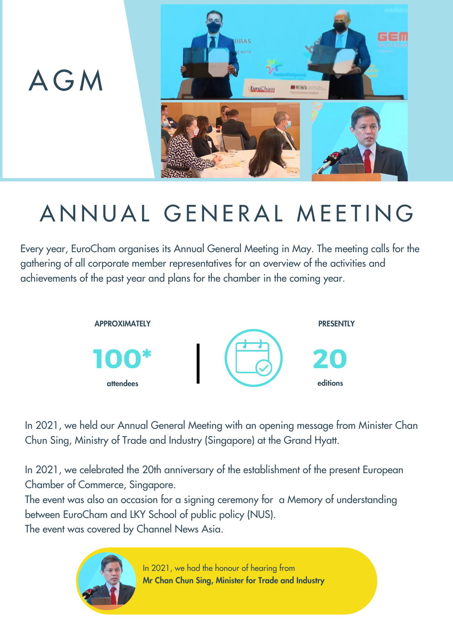

## ANNUAL GENERAL MEETING

Every year, EuroCham organises its Annual General Meeting in May. The meeting calls for the gathering of all corporate member representatives for an overview of the activities and achievements of the past year and plans for the chamber in the coming year.



In 2021, we held our Annual General Meeting with an opening message from Minister Chan Chun Sing, Ministry of Trade and Industry (Singapore) at the Grand Hyatt.

In 2021, we celebrated the 20th anniversary of the establishment of the present European Chamber of Commerce, Singapore.

The event was also an occasion for a signing ceremony for a Memory of understanding between EuroCham and LKY School of public policy (NUS).

The event was covered by Channel News Asia.

In 2021, we had the honour of hearing from Mr Chan Chun Sing, Minister for Trade and Industry